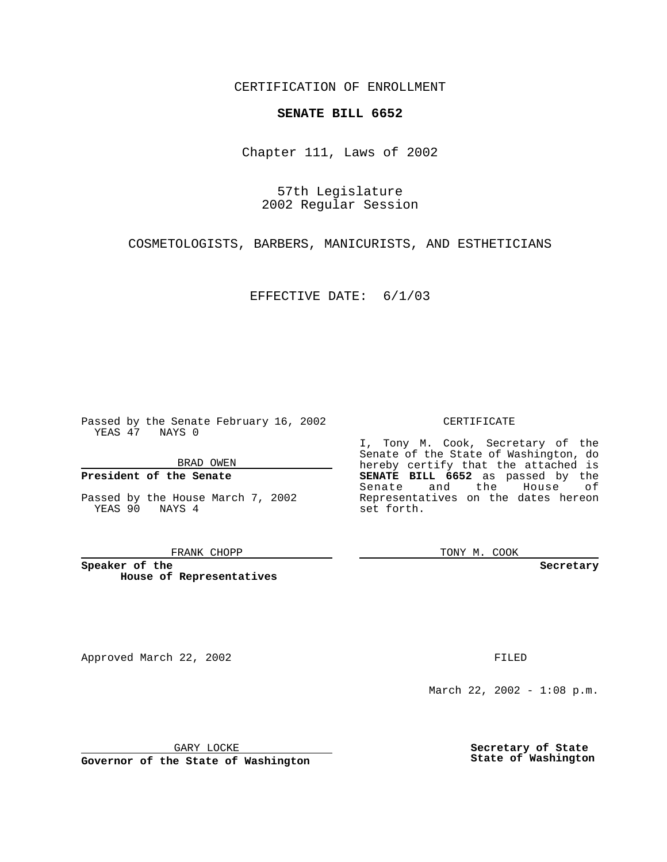CERTIFICATION OF ENROLLMENT

## **SENATE BILL 6652**

Chapter 111, Laws of 2002

57th Legislature 2002 Regular Session

COSMETOLOGISTS, BARBERS, MANICURISTS, AND ESTHETICIANS

EFFECTIVE DATE: 6/1/03

Passed by the Senate February 16, 2002 YEAS 47 NAYS 0

BRAD OWEN

### **President of the Senate**

Passed by the House March 7, 2002 YEAS 90 NAYS 4

#### FRANK CHOPP

**Speaker of the House of Representatives**

Approved March 22, 2002 **FILED** 

#### CERTIFICATE

I, Tony M. Cook, Secretary of the Senate of the State of Washington, do hereby certify that the attached is **SENATE BILL 6652** as passed by the Senate and the House of Representatives on the dates hereon set forth.

TONY M. COOK

**Secretary**

March 22, 2002 - 1:08 p.m.

GARY LOCKE

**Governor of the State of Washington**

**Secretary of State State of Washington**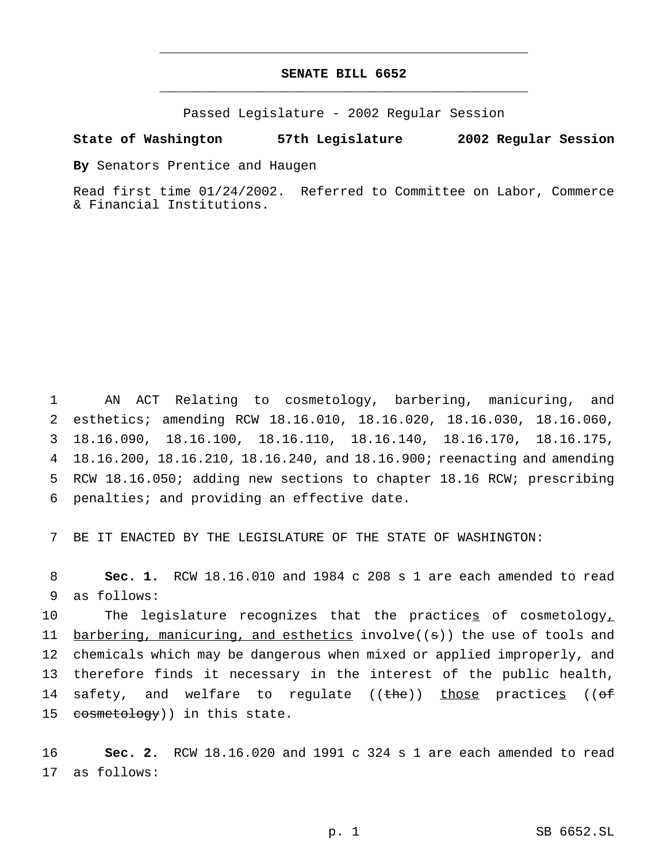# **SENATE BILL 6652** \_\_\_\_\_\_\_\_\_\_\_\_\_\_\_\_\_\_\_\_\_\_\_\_\_\_\_\_\_\_\_\_\_\_\_\_\_\_\_\_\_\_\_\_\_\_\_

\_\_\_\_\_\_\_\_\_\_\_\_\_\_\_\_\_\_\_\_\_\_\_\_\_\_\_\_\_\_\_\_\_\_\_\_\_\_\_\_\_\_\_\_\_\_\_

Passed Legislature - 2002 Regular Session

#### **State of Washington 57th Legislature 2002 Regular Session**

**By** Senators Prentice and Haugen

Read first time 01/24/2002. Referred to Committee on Labor, Commerce & Financial Institutions.

 AN ACT Relating to cosmetology, barbering, manicuring, and esthetics; amending RCW 18.16.010, 18.16.020, 18.16.030, 18.16.060, 18.16.090, 18.16.100, 18.16.110, 18.16.140, 18.16.170, 18.16.175, 18.16.200, 18.16.210, 18.16.240, and 18.16.900; reenacting and amending RCW 18.16.050; adding new sections to chapter 18.16 RCW; prescribing penalties; and providing an effective date.

7 BE IT ENACTED BY THE LEGISLATURE OF THE STATE OF WASHINGTON:

8 **Sec. 1.** RCW 18.16.010 and 1984 c 208 s 1 are each amended to read 9 as follows:

10 The legislature recognizes that the practices of cosmetology, 11 barbering, manicuring, and esthetics involve((s)) the use of tools and 12 chemicals which may be dangerous when mixed or applied improperly, and 13 therefore finds it necessary in the interest of the public health, 14 safety, and welfare to regulate  $((the h e))$  those practices  $((of f e))$ 15 cosmetology)) in this state.

16 **Sec. 2.** RCW 18.16.020 and 1991 c 324 s 1 are each amended to read 17 as follows: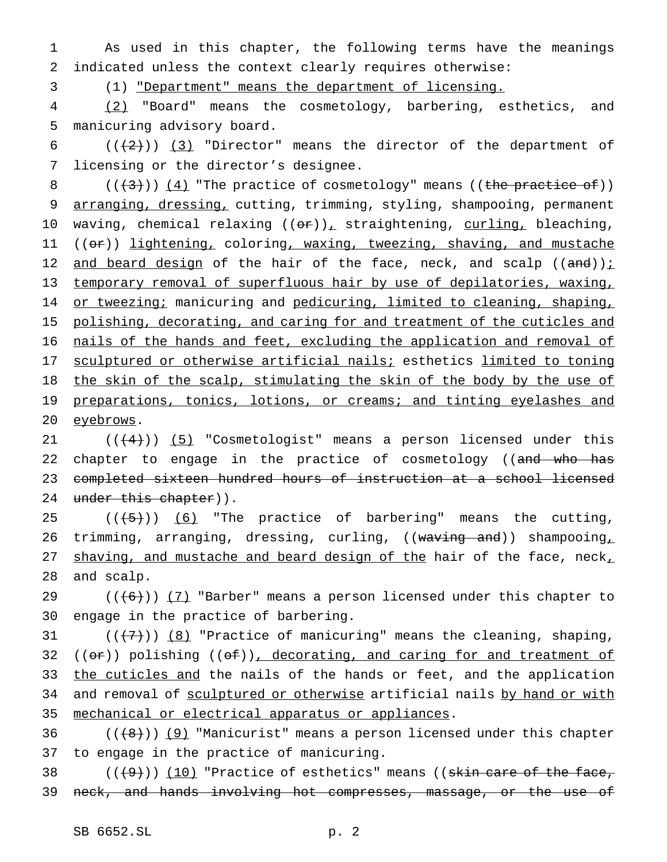1 As used in this chapter, the following terms have the meanings 2 indicated unless the context clearly requires otherwise:

3 (1) "Department" means the department of licensing.

4 (2) "Board" means the cosmetology, barbering, esthetics, and 5 manicuring advisory board.

6  $((+2+))$  (3) "Director" means the director of the department of 7 licensing or the director's designee.

8  $((+3))$   $(4)$  "The practice of cosmetology" means ((the practice of)) 9 arranging, dressing, cutting, trimming, styling, shampooing, permanent 10 waving, chemical relaxing  $((e^{2})_{L})$  straightening, curling, bleaching, 11 ((or)) lightening, coloring, waxing, tweezing, shaving, and mustache 12 and beard design of the hair of the face, neck, and scalp  $((and))$  i 13 temporary removal of superfluous hair by use of depilatories, waxing, 14 or tweezing; manicuring and pedicuring, limited to cleaning, shaping, 15 polishing, decorating, and caring for and treatment of the cuticles and 16 nails of the hands and feet, excluding the application and removal of 17 sculptured or otherwise artificial nails; esthetics limited to toning 18 the skin of the scalp, stimulating the skin of the body by the use of 19 preparations, tonics, lotions, or creams; and tinting eyelashes and 20 eyebrows.

21  $((+4))$  (5) "Cosmetologist" means a person licensed under this 22 chapter to engage in the practice of cosmetology ((and who has 23 completed sixteen hundred hours of instruction at a school licensed 24 under this chapter)).

25  $((+5))$   $(6)$  "The practice of barbering" means the cutting, 26 trimming, arranging, dressing, curling, ((waving and)) shampooing 27 shaving, and mustache and beard design of the hair of the face, neck, 28 and scalp.

29  $((+6))$   $(7)$  "Barber" means a person licensed under this chapter to 30 engage in the practice of barbering.

31  $((+7))$   $(8)$  "Practice of manicuring" means the cleaning, shaping, 32 ( $(\theta \cdot \hat{r})$ ) polishing ( $(\theta \cdot \hat{r})$ ), decorating, and caring for and treatment of 33 the cuticles and the nails of the hands or feet, and the application 34 and removal of sculptured or otherwise artificial nails by hand or with 35 mechanical or electrical apparatus or appliances.

36  $((+8))$  (9) "Manicurist" means a person licensed under this chapter 37 to engage in the practice of manicuring.

38  $((+9))$   $(10)$  "Practice of esthetics" means ((skin care of the face, 39 neck, and hands involving hot compresses, massage, or the use of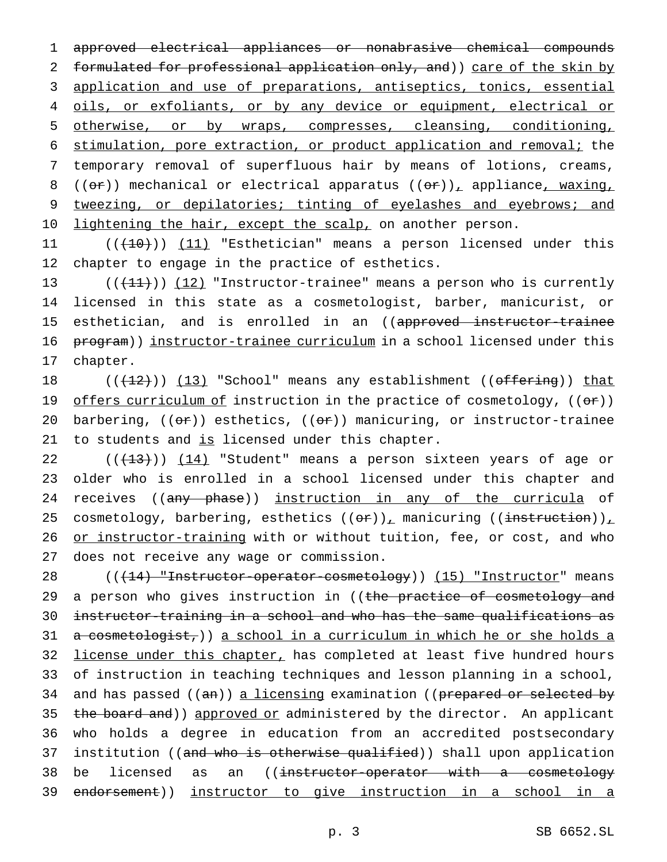1 approved electrical appliances or nonabrasive chemical compounds 2 formulated for professional application only, and)) care of the skin by 3 application and use of preparations, antiseptics, tonics, essential 4 oils, or exfoliants, or by any device or equipment, electrical or 5 otherwise, or by wraps, compresses, cleansing, conditioning, 6 stimulation, pore extraction, or product application and removal; the 7 temporary removal of superfluous hair by means of lotions, creams, 8 (( $\theta$ r)) mechanical or electrical apparatus ( $(\theta$ r))<sub> $\pm$ </sub> appliance<sub> $\pm$ </sub> waxing, 9 tweezing, or depilatories; tinting of eyelashes and eyebrows; and 10 lightening the hair, except the scalp, on another person.

11 ((<del>(10)</del>)) <u>(11)</u> "Esthetician" means a person licensed under this 12 chapter to engage in the practice of esthetics.

13  $((+11))$   $(12)$  "Instructor-trainee" means a person who is currently 14 licensed in this state as a cosmetologist, barber, manicurist, or 15 esthetician, and is enrolled in an ((approved instructor-trainee 16 program)) instructor-trainee curriculum in a school licensed under this 17 chapter.

18  $((+2)^*)$  (13) "School" means any establishment ((offering)) that 19 offers curriculum of instruction in the practice of cosmetology, ((or)) 20 barbering,  $((\sigma \cdot \tau))$  esthetics,  $((\sigma \cdot \tau))$  manicuring, or instructor-trainee 21 to students and is licensed under this chapter.

22  $((+13))$   $(14)$  "Student" means a person sixteen years of age or 23 older who is enrolled in a school licensed under this chapter and 24 receives ((any phase)) instruction in any of the curricula of 25 cosmetology, barbering, esthetics  $((or))_1$  manicuring  $((instructor))_1$ 26 or instructor-training with or without tuition, fee, or cost, and who 27 does not receive any wage or commission.

28 (( $+14$ ) "Instructor-operator-cosmetology)) (15) "Instructor" means 29 a person who gives instruction in ((the practice of cosmetology and 30 instructor-training in a school and who has the same qualifications as 31 a cosmetologist,)) a school in a curriculum in which he or she holds a 32 license under this chapter, has completed at least five hundred hours 33 of instruction in teaching techniques and lesson planning in a school, 34 and has passed ((an)) a licensing examination ((prepared or selected by 35 the board and)) approved or administered by the director. An applicant 36 who holds a degree in education from an accredited postsecondary 37 institution ((and who is otherwise qualified)) shall upon application 38 be licensed as an ((<del>instructor-operator with a cosmetology</del> 39 endorsement)) instructor to give instruction in a school in a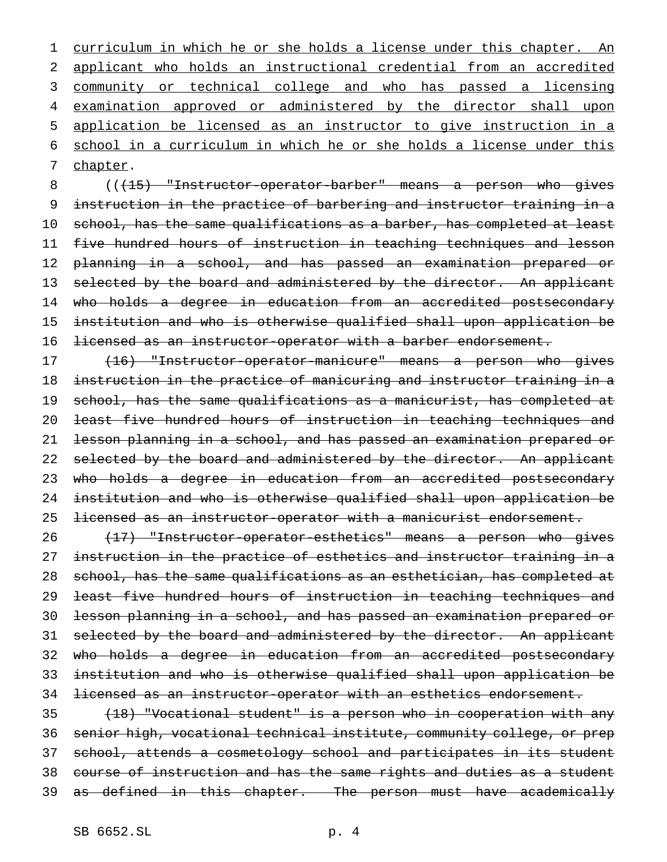1 curriculum in which he or she holds a license under this chapter. An applicant who holds an instructional credential from an accredited community or technical college and who has passed a licensing 4 examination approved or administered by the director shall upon application be licensed as an instructor to give instruction in a school in a curriculum in which he or she holds a license under this chapter.

8 (( $\left(15\right)$  "Instructor-operator-barber" means a person who gives instruction in the practice of barbering and instructor training in a school, has the same qualifications as a barber, has completed at least five hundred hours of instruction in teaching techniques and lesson planning in a school, and has passed an examination prepared or 13 selected by the board and administered by the director. An applicant 14 who holds a degree in education from an accredited postsecondary institution and who is otherwise qualified shall upon application be 16 <del>licensed as an instructor-operator with a barber endorsement.</del>

17 (16) "Instructor-operator-manicure" means a person who gives instruction in the practice of manicuring and instructor training in a school, has the same qualifications as a manicurist, has completed at least five hundred hours of instruction in teaching techniques and lesson planning in a school, and has passed an examination prepared or 22 selected by the board and administered by the director. An applicant 23 who holds a degree in education from an accredited postsecondary institution and who is otherwise qualified shall upon application be licensed as an instructor-operator with a manicurist endorsement.

 (17) "Instructor-operator-esthetics" means a person who gives 27 instruction in the practice of esthetics and instructor training in a school, has the same qualifications as an esthetician, has completed at 29 <del>least five hundred hours of instruction in teaching techniques and</del> lesson planning in a school, and has passed an examination prepared or 31 selected by the board and administered by the director. An applicant who holds a degree in education from an accredited postsecondary institution and who is otherwise qualified shall upon application be licensed as an instructor-operator with an esthetics endorsement.

 (18) "Vocational student" is a person who in cooperation with any senior high, vocational technical institute, community college, or prep 37 school, attends a cosmetology school and participates in its student course of instruction and has the same rights and duties as a student 39 as defined in this chapter. The person must have academically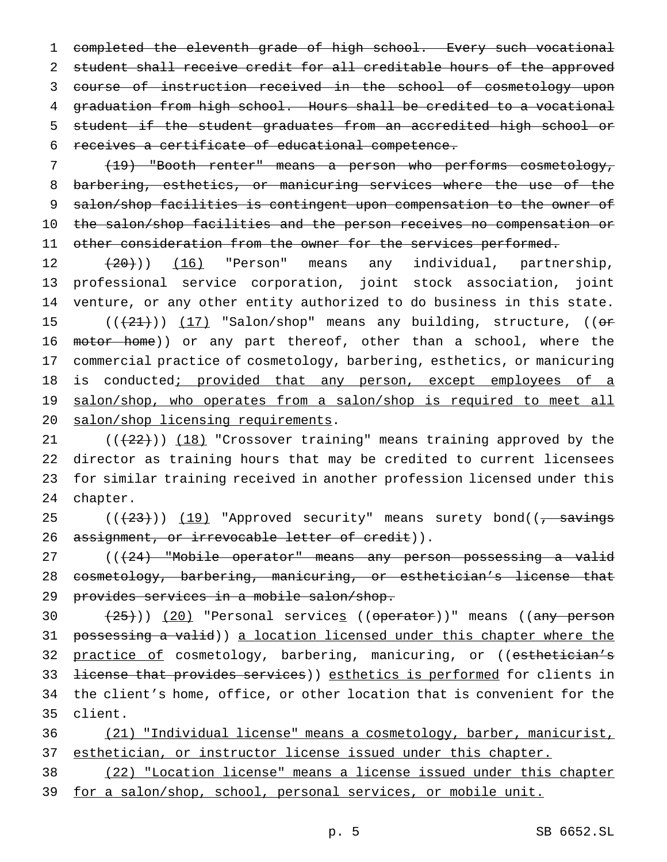completed the eleventh grade of high school. Every such vocational student shall receive credit for all creditable hours of the approved course of instruction received in the school of cosmetology upon graduation from high school. Hours shall be credited to a vocational student if the student graduates from an accredited high school or receives a certificate of educational competence.

 (19) "Booth renter" means a person who performs cosmetology, barbering, esthetics, or manicuring services where the use of the salon/shop facilities is contingent upon compensation to the owner of the salon/shop facilities and the person receives no compensation or 11 other consideration from the owner for the services performed.

12 (20))) (16) "Person" means any individual, partnership, professional service corporation, joint stock association, joint venture, or any other entity authorized to do business in this state. 15  $((+21))$   $(17)$  "Salon/shop" means any building, structure,  $(6r)$ 16 motor home)) or any part thereof, other than a school, where the commercial practice of cosmetology, barbering, esthetics, or manicuring 18 is conducted; provided that any person, except employees of a 19 salon/shop, who operates from a salon/shop is required to meet all salon/shop licensing requirements.

 $((+22))$   $(18)$  "Crossover training" means training approved by the director as training hours that may be credited to current licensees for similar training received in another profession licensed under this chapter.

25 (((23))) (19) "Approved security" means surety bond((, savings 26 assignment, or irrevocable letter of credit)).

27 (((24) "Mobile operator" means any person possessing a valid cosmetology, barbering, manicuring, or esthetician's license that 29 provides services in a mobile salon/shop.

30 (25))) (20) "Personal services ((operator))" means ((any person possessing a valid)) a location licensed under this chapter where the 32 practice of cosmetology, barbering, manicuring, or ((esthetician's 33 <del>license that provides services</del>)) esthetics is performed for clients in the client's home, office, or other location that is convenient for the client.

 (21) "Individual license" means a cosmetology, barber, manicurist, 37 esthetician, or instructor license issued under this chapter.

 (22) "Location license" means a license issued under this chapter for a salon/shop, school, personal services, or mobile unit.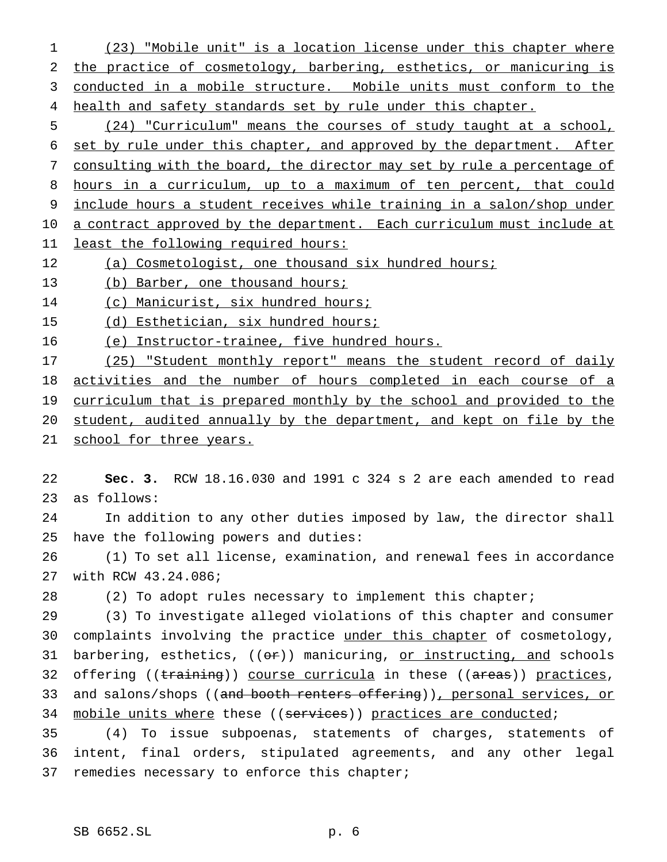(23) "Mobile unit" is a location license under this chapter where the practice of cosmetology, barbering, esthetics, or manicuring is conducted in a mobile structure. Mobile units must conform to the 4 health and safety standards set by rule under this chapter.

 (24) "Curriculum" means the courses of study taught at a school, set by rule under this chapter, and approved by the department. After consulting with the board, the director may set by rule a percentage of hours in a curriculum, up to a maximum of ten percent, that could include hours a student receives while training in a salon/shop under 10 a contract approved by the department. Each curriculum must include at least the following required hours:

12 (a) Cosmetologist, one thousand six hundred hours;

13 (b) Barber, one thousand hours;

(c) Manicurist, six hundred hours;

15 (d) Esthetician, six hundred hours;

(e) Instructor-trainee, five hundred hours.

 (25) "Student monthly report" means the student record of daily activities and the number of hours completed in each course of a curriculum that is prepared monthly by the school and provided to the student, audited annually by the department, and kept on file by the 21 school for three years.

 **Sec. 3.** RCW 18.16.030 and 1991 c 324 s 2 are each amended to read as follows:

 In addition to any other duties imposed by law, the director shall have the following powers and duties:

 (1) To set all license, examination, and renewal fees in accordance with RCW 43.24.086;

(2) To adopt rules necessary to implement this chapter;

 (3) To investigate alleged violations of this chapter and consumer complaints involving the practice under this chapter of cosmetology, 31 barbering, esthetics,  $((e^{e})$  manicuring, or instructing, and schools 32 offering ((training)) course curricula in these ((areas)) practices, 33 and salons/shops ((and booth renters offering)), personal services, or 34 mobile units where these ((services)) practices are conducted;

 (4) To issue subpoenas, statements of charges, statements of intent, final orders, stipulated agreements, and any other legal remedies necessary to enforce this chapter;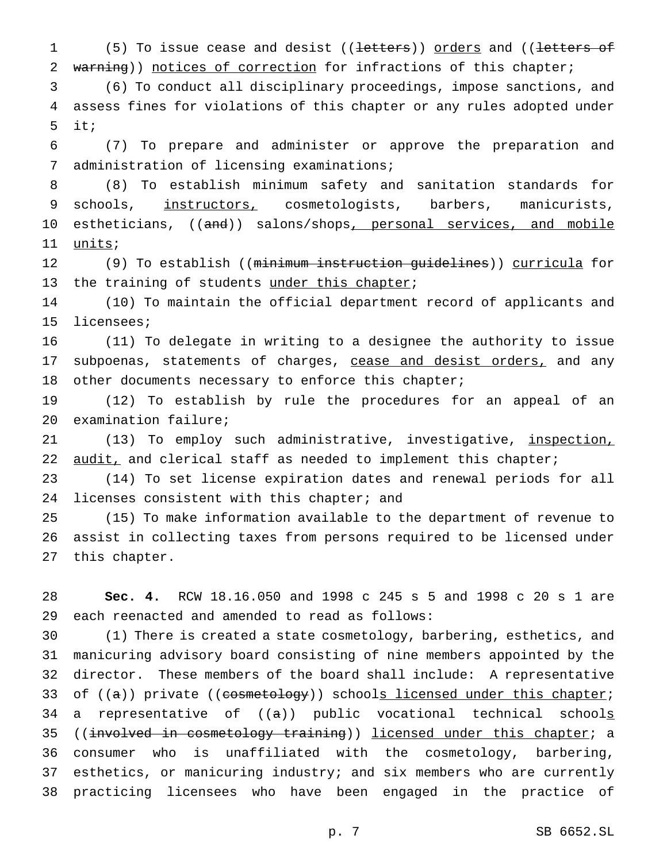1 (5) To issue cease and desist ((letters)) orders and ((letters of 2 warning)) notices of correction for infractions of this chapter;

 (6) To conduct all disciplinary proceedings, impose sanctions, and assess fines for violations of this chapter or any rules adopted under it;

 (7) To prepare and administer or approve the preparation and administration of licensing examinations;

 (8) To establish minimum safety and sanitation standards for 9 schools, instructors, cosmetologists, barbers, manicurists, 10 estheticians, ((and)) salons/shops, personal services, and mobile 11 units;

12 (9) To establish ((<del>minimum instruction quidelines</del>)) curricula for 13 the training of students under this chapter;

 (10) To maintain the official department record of applicants and licensees;

 (11) To delegate in writing to a designee the authority to issue 17 subpoenas, statements of charges, cease and desist orders, and any other documents necessary to enforce this chapter;

 (12) To establish by rule the procedures for an appeal of an examination failure;

21 (13) To employ such administrative, investigative, inspection, 22 audit, and clerical staff as needed to implement this chapter;

 (14) To set license expiration dates and renewal periods for all 24 licenses consistent with this chapter; and

 (15) To make information available to the department of revenue to assist in collecting taxes from persons required to be licensed under this chapter.

 **Sec. 4.** RCW 18.16.050 and 1998 c 245 s 5 and 1998 c 20 s 1 are each reenacted and amended to read as follows:

 (1) There is created a state cosmetology, barbering, esthetics, and manicuring advisory board consisting of nine members appointed by the director. These members of the board shall include: A representative 33 of  $((a))$  private  $((\text{cosmetology}))$  schools licensed under this chapter; 34 a representative of  $((a))$  public vocational technical schools 35 ((involved in cosmetology training)) licensed under this chapter; a consumer who is unaffiliated with the cosmetology, barbering, esthetics, or manicuring industry; and six members who are currently practicing licensees who have been engaged in the practice of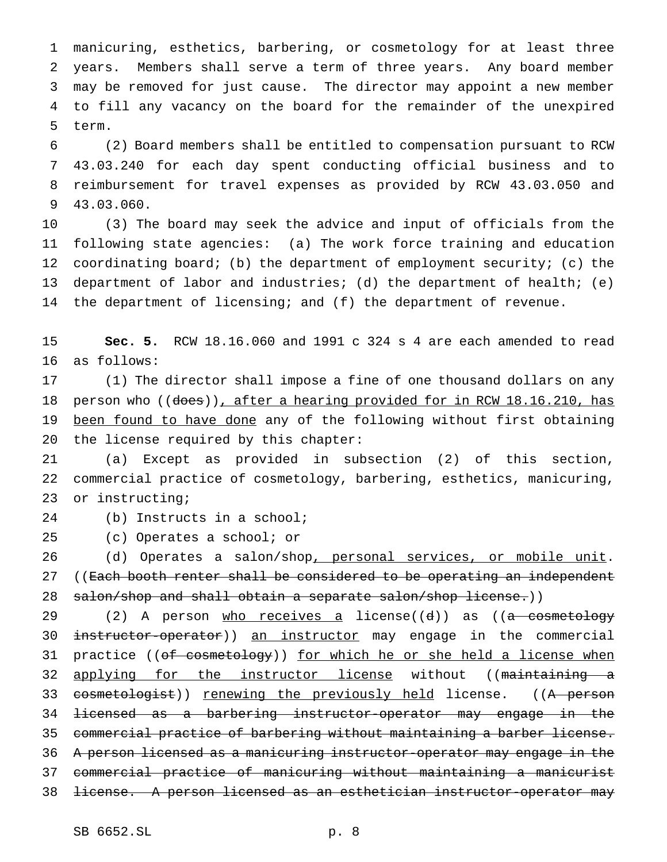manicuring, esthetics, barbering, or cosmetology for at least three years. Members shall serve a term of three years. Any board member may be removed for just cause. The director may appoint a new member to fill any vacancy on the board for the remainder of the unexpired term.

 (2) Board members shall be entitled to compensation pursuant to RCW 43.03.240 for each day spent conducting official business and to reimbursement for travel expenses as provided by RCW 43.03.050 and 43.03.060.

 (3) The board may seek the advice and input of officials from the following state agencies: (a) The work force training and education 12 coordinating board; (b) the department of employment security; (c) the department of labor and industries; (d) the department of health; (e) 14 the department of licensing; and (f) the department of revenue.

 **Sec. 5.** RCW 18.16.060 and 1991 c 324 s 4 are each amended to read as follows:

 (1) The director shall impose a fine of one thousand dollars on any 18 person who ((does)), after a hearing provided for in RCW 18.16.210, has been found to have done any of the following without first obtaining the license required by this chapter:

 (a) Except as provided in subsection (2) of this section, commercial practice of cosmetology, barbering, esthetics, manicuring, or instructing;

(b) Instructs in a school;

(c) Operates a school; or

26 (d) Operates a salon/shop, personal services, or mobile unit. 27 ((Each booth renter shall be considered to be operating an independent 28 salon/shop and shall obtain a separate salon/shop license.))

29 (2) A person who receives a license((d)) as ((a cosmetology 30 instructor-operator)) an instructor may engage in the commercial 31 practice ((of cosmetology)) for which he or she held a license when 32 applying for the instructor license without ((maintaining a 33 cosmetologist)) renewing the previously held license. ((A person licensed as a barbering instructor-operator may engage in the commercial practice of barbering without maintaining a barber license. A person licensed as a manicuring instructor-operator may engage in the commercial practice of manicuring without maintaining a manicurist license. A person licensed as an esthetician instructor-operator may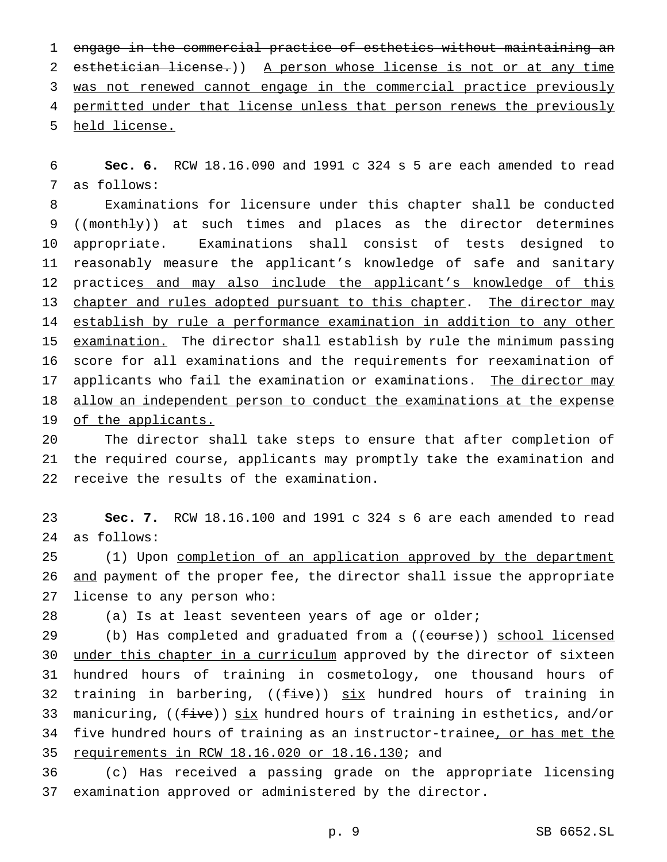1 engage in the commercial practice of esthetics without maintaining an 2 esthetician license.)) A person whose license is not or at any time 3 was not renewed cannot engage in the commercial practice previously 4 permitted under that license unless that person renews the previously 5 held license.

6 **Sec. 6.** RCW 18.16.090 and 1991 c 324 s 5 are each amended to read 7 as follows:

8 Examinations for licensure under this chapter shall be conducted 9 ((monthly)) at such times and places as the director determines 10 appropriate. Examinations shall consist of tests designed to 11 reasonably measure the applicant's knowledge of safe and sanitary 12 practices and may also include the applicant's knowledge of this 13 chapter and rules adopted pursuant to this chapter. The director may 14 establish by rule a performance examination in addition to any other 15 examination. The director shall establish by rule the minimum passing 16 score for all examinations and the requirements for reexamination of 17 applicants who fail the examination or examinations. The director may 18 allow an independent person to conduct the examinations at the expense 19 of the applicants.

20 The director shall take steps to ensure that after completion of 21 the required course, applicants may promptly take the examination and 22 receive the results of the examination.

23 **Sec. 7.** RCW 18.16.100 and 1991 c 324 s 6 are each amended to read 24 as follows:

25 (1) Upon completion of an application approved by the department 26 and payment of the proper fee, the director shall issue the appropriate 27 license to any person who:

28 (a) Is at least seventeen years of age or older;

29 (b) Has completed and graduated from a ((course)) school licensed 30 under this chapter in a curriculum approved by the director of sixteen 31 hundred hours of training in cosmetology, one thousand hours of 32 training in barbering,  $((five))$  six hundred hours of training in 33 manicuring,  $((f<sub>ive</sub>))$  six hundred hours of training in esthetics, and/or 34 five hundred hours of training as an instructor-trainee, or has met the 35 requirements in RCW 18.16.020 or 18.16.130; and

36 (c) Has received a passing grade on the appropriate licensing 37 examination approved or administered by the director.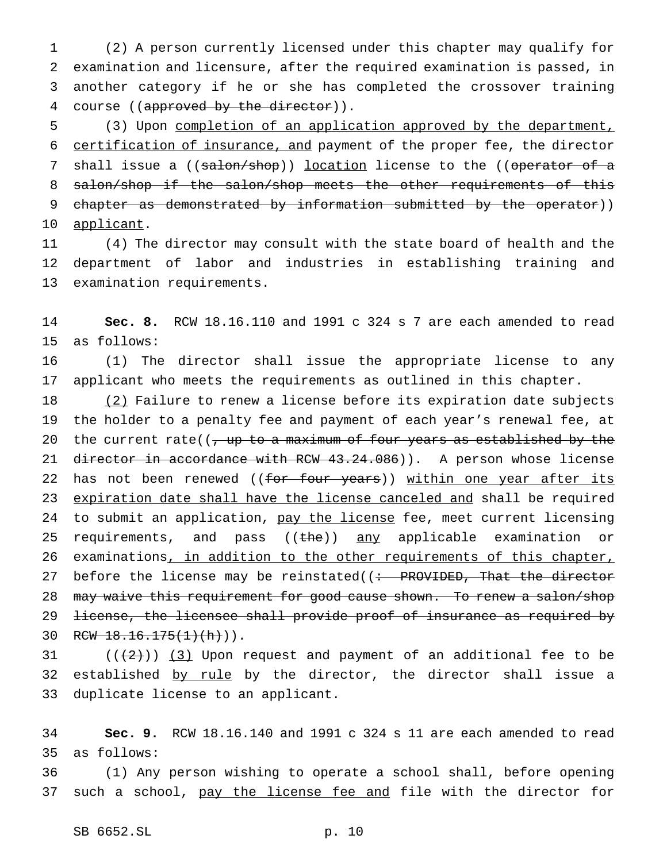(2) A person currently licensed under this chapter may qualify for examination and licensure, after the required examination is passed, in another category if he or she has completed the crossover training 4 course ((approved by the director)).

5 (3) Upon completion of an application approved by the department, 6 certification of insurance, and payment of the proper fee, the director 7 shall issue a ((salon/shop)) location license to the ((operator of a 8 salon/shop if the salon/shop meets the other requirements of this 9 chapter as demonstrated by information submitted by the operator)) 10 applicant.

11 (4) The director may consult with the state board of health and the 12 department of labor and industries in establishing training and 13 examination requirements.

14 **Sec. 8.** RCW 18.16.110 and 1991 c 324 s 7 are each amended to read 15 as follows:

16 (1) The director shall issue the appropriate license to any 17 applicant who meets the requirements as outlined in this chapter.

18 (2) Failure to renew a license before its expiration date subjects 19 the holder to a penalty fee and payment of each year's renewal fee, at 20 the current rate( $\left($ , up to a maximum of four years as established by the 21 director in accordance with RCW 43.24.086)). A person whose license 22 has not been renewed ((for four years)) within one year after its 23 expiration date shall have the license canceled and shall be required 24 to submit an application, pay the license fee, meet current licensing 25 requirements, and pass ((the)) any applicable examination or 26 examinations, in addition to the other requirements of this chapter, 27 before the license may be reinstated( $($  + PROVIDED, That the director 28 may waive this requirement for good cause shown. To renew a salon/shop 29 <del>license, the licensee shall provide proof of insurance as required by</del> 30 RCW  $18.16.175(1)(h)$ ).

31  $((+2))$  (3) Upon request and payment of an additional fee to be 32 established by rule by the director, the director shall issue a 33 duplicate license to an applicant.

34 **Sec. 9.** RCW 18.16.140 and 1991 c 324 s 11 are each amended to read 35 as follows:

36 (1) Any person wishing to operate a school shall, before opening 37 such a school, pay the license fee and file with the director for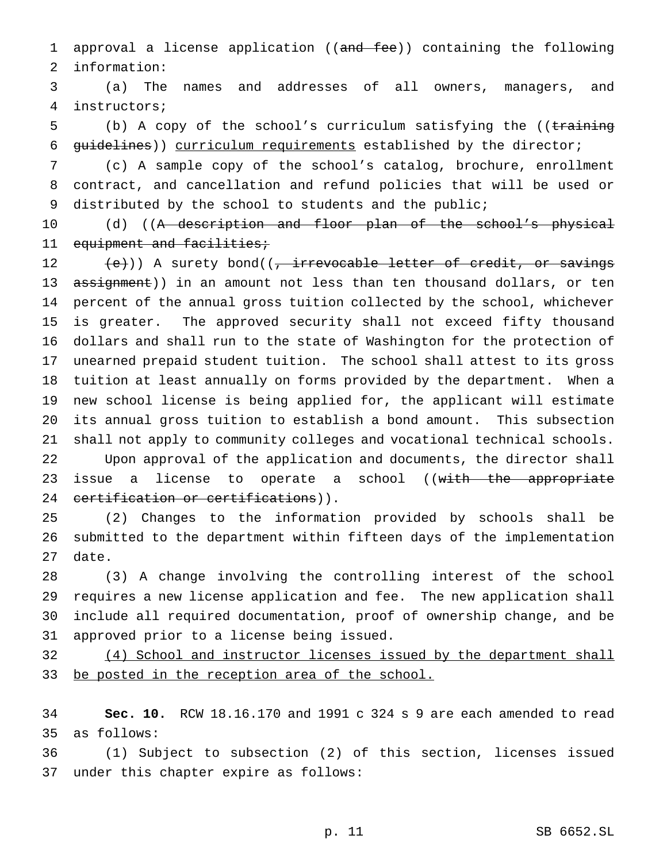1 approval a license application ((and fee)) containing the following information:

 (a) The names and addresses of all owners, managers, and instructors;

5 (b) A copy of the school's curriculum satisfying the ((training 6 guidelines)) curriculum requirements established by the director;

 (c) A sample copy of the school's catalog, brochure, enrollment contract, and cancellation and refund policies that will be used or distributed by the school to students and the public;

10 (d) ((<del>A description and floor plan of the school's physical</del> 11 equipment and facilities;

12 (e)) A surety bond((, irrevocable letter of credit, or savings 13 assignment)) in an amount not less than ten thousand dollars, or ten percent of the annual gross tuition collected by the school, whichever is greater. The approved security shall not exceed fifty thousand dollars and shall run to the state of Washington for the protection of unearned prepaid student tuition. The school shall attest to its gross tuition at least annually on forms provided by the department. When a new school license is being applied for, the applicant will estimate its annual gross tuition to establish a bond amount. This subsection shall not apply to community colleges and vocational technical schools. Upon approval of the application and documents, the director shall 23 issue a license to operate a school ((with the appropriate 24 certification or certifications)).

 (2) Changes to the information provided by schools shall be submitted to the department within fifteen days of the implementation date.

 (3) A change involving the controlling interest of the school requires a new license application and fee. The new application shall include all required documentation, proof of ownership change, and be approved prior to a license being issued.

32 (4) School and instructor licenses issued by the department shall 33 be posted in the reception area of the school.

 **Sec. 10.** RCW 18.16.170 and 1991 c 324 s 9 are each amended to read as follows:

 (1) Subject to subsection (2) of this section, licenses issued under this chapter expire as follows: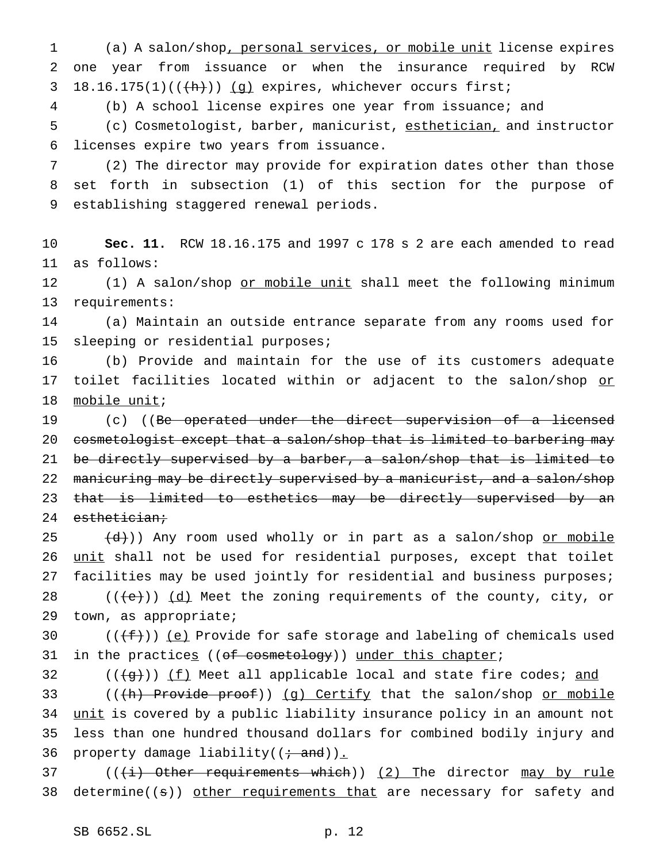1 (a) A salon/shop, personal services, or mobile unit license expires 2 one year from issuance or when the insurance required by RCW 3 18.16.175(1) $((+h))$  (g) expires, whichever occurs first;

4 (b) A school license expires one year from issuance; and

5 (c) Cosmetologist, barber, manicurist, esthetician, and instructor 6 licenses expire two years from issuance.

7 (2) The director may provide for expiration dates other than those 8 set forth in subsection (1) of this section for the purpose of 9 establishing staggered renewal periods.

10 **Sec. 11.** RCW 18.16.175 and 1997 c 178 s 2 are each amended to read 11 as follows:

12 (1) A salon/shop or mobile unit shall meet the following minimum 13 requirements:

14 (a) Maintain an outside entrance separate from any rooms used for 15 sleeping or residential purposes;

16 (b) Provide and maintain for the use of its customers adequate 17 toilet facilities located within or adjacent to the salon/shop or 18 mobile unit;

19 (c) ((Be operated under the direct supervision of a licensed 20 cosmetologist except that a salon/shop that is limited to barbering may 21 be directly supervised by a barber, a salon/shop that is limited to 22 manicuring may be directly supervised by a manicurist, and a salon/shop 23 that is limited to esthetics may be directly supervised by an 24 esthetician;

 $(25$   $(d))$  Any room used wholly or in part as a salon/shop or mobile 26 unit shall not be used for residential purposes, except that toilet 27 facilities may be used jointly for residential and business purposes; 28  $((\text{+e})^2)(\text{d})$  Meet the zoning requirements of the county, city, or 29 town, as appropriate;

30  $((\text{f}^{\text{f}}))$  (e) Provide for safe storage and labeling of chemicals used 31 in the practices ((of cosmetology)) under this chapter;

 $32$  (( $\left(\frac{1}{9}t\right)$ ) <u>(f)</u> Meet all applicable local and state fire codes; and

33 (((th) Provide proof)) (g) Certify that the salon/shop or mobile 34 unit is covered by a public liability insurance policy in an amount not 35 less than one hundred thousand dollars for combined bodily injury and 36 property damage liability( $(i - and)$ ).

37 ( $(\frac{1}{1})$  Other requirements which)) (2) The director may by rule 38 determine( $(s)$ ) other requirements that are necessary for safety and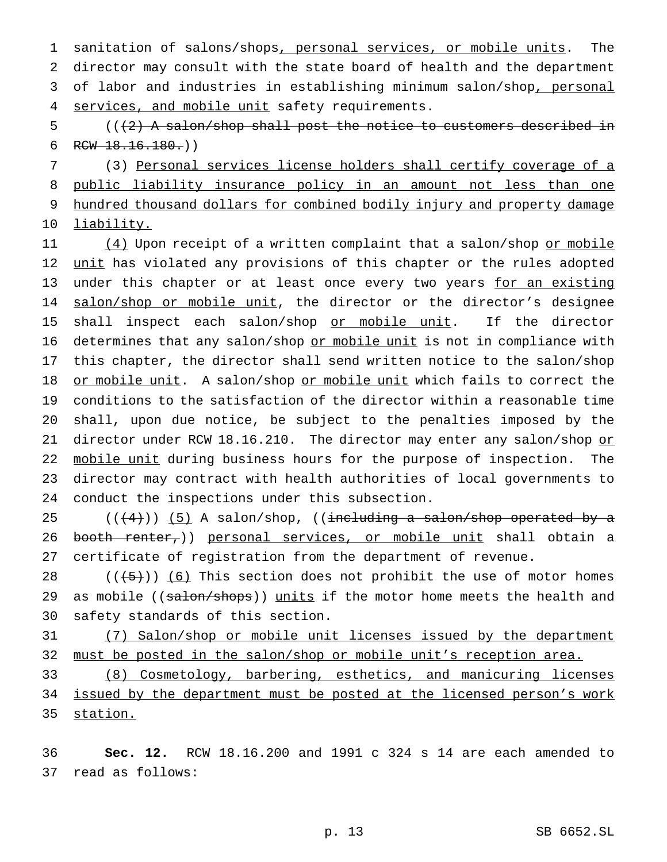1 sanitation of salons/shops, personal services, or mobile units. The 2 director may consult with the state board of health and the department 3 of labor and industries in establishing minimum salon/shop, personal 4 services, and mobile unit safety requirements.

 $5$  (( $(2)$  A salon/shop shall post the notice to customers described in 6 RCW  $18.16.180.$ )

 (3) Personal services license holders shall certify coverage of a public liability insurance policy in an amount not less than one 9 hundred thousand dollars for combined bodily injury and property damage liability.

11 (4) Upon receipt of a written complaint that a salon/shop or mobile 12 unit has violated any provisions of this chapter or the rules adopted 13 under this chapter or at least once every two years for an existing 14 salon/shop or mobile unit, the director or the director's designee 15 shall inspect each salon/shop or mobile unit. If the director 16 determines that any salon/shop or mobile unit is not in compliance with 17 this chapter, the director shall send written notice to the salon/shop 18 or mobile unit. A salon/shop or mobile unit which fails to correct the 19 conditions to the satisfaction of the director within a reasonable time 20 shall, upon due notice, be subject to the penalties imposed by the 21 director under RCW 18.16.210. The director may enter any salon/shop or 22 mobile unit during business hours for the purpose of inspection. The 23 director may contract with health authorities of local governments to 24 conduct the inspections under this subsection.

25  $((+4))$  (5) A salon/shop, ((including a salon/shop operated by a 26 booth renter,)) personal services, or mobile unit shall obtain a 27 certificate of registration from the department of revenue.

28  $((\frac{1}{5}))(6)$  This section does not prohibit the use of motor homes 29 as mobile ((salon/shops)) units if the motor home meets the health and 30 safety standards of this section.

31 (7) Salon/shop or mobile unit licenses issued by the department 32 must be posted in the salon/shop or mobile unit's reception area.

33 (8) Cosmetology, barbering, esthetics, and manicuring licenses 34 issued by the department must be posted at the licensed person's work 35 station.

36 **Sec. 12.** RCW 18.16.200 and 1991 c 324 s 14 are each amended to 37 read as follows: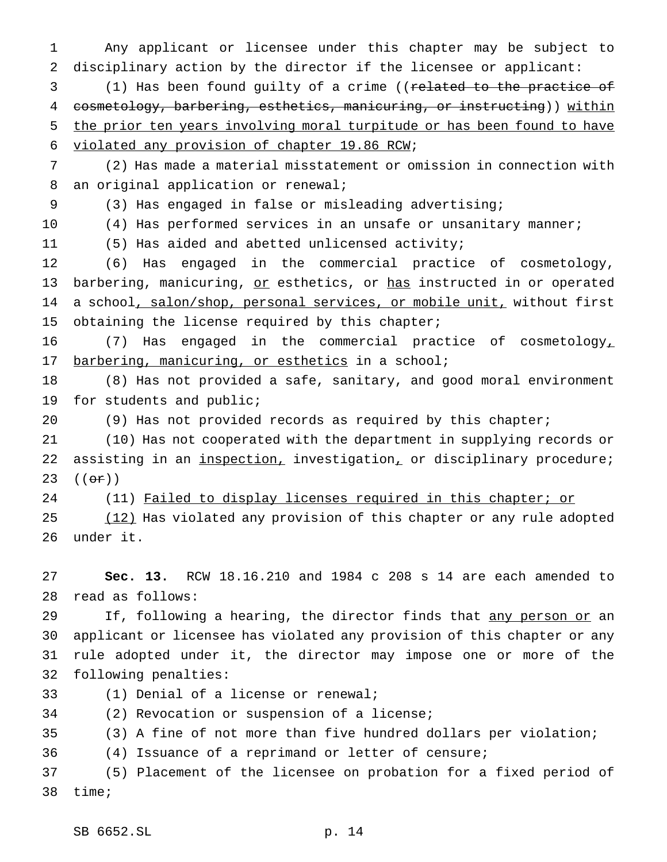Any applicant or licensee under this chapter may be subject to disciplinary action by the director if the licensee or applicant:

 (1) Has been found guilty of a crime ((related to the practice of 4 cosmetology, barbering, esthetics, manicuring, or instructing)) within the prior ten years involving moral turpitude or has been found to have violated any provision of chapter 19.86 RCW;

 (2) Has made a material misstatement or omission in connection with an original application or renewal;

(3) Has engaged in false or misleading advertising;

10 (4) Has performed services in an unsafe or unsanitary manner;

(5) Has aided and abetted unlicensed activity;

 (6) Has engaged in the commercial practice of cosmetology, 13 barbering, manicuring, or esthetics, or has instructed in or operated 14 a school, salon/shop, personal services, or mobile unit, without first 15 obtaining the license required by this chapter;

 (7) Has engaged in the commercial practice of cosmetology, 17 barbering, manicuring, or esthetics in a school;

 (8) Has not provided a safe, sanitary, and good moral environment for students and public;

(9) Has not provided records as required by this chapter;

 (10) Has not cooperated with the department in supplying records or 22 assisting in an *inspection*, investigation, or disciplinary procedure; 23  $((e^{\pi})^{\circ})$ 

24 (11) Failed to display licenses required in this chapter; or

25 (12) Has violated any provision of this chapter or any rule adopted under it.

 **Sec. 13.** RCW 18.16.210 and 1984 c 208 s 14 are each amended to read as follows:

29 If, following a hearing, the director finds that any person or an applicant or licensee has violated any provision of this chapter or any rule adopted under it, the director may impose one or more of the following penalties:

(1) Denial of a license or renewal;

(2) Revocation or suspension of a license;

(3) A fine of not more than five hundred dollars per violation;

(4) Issuance of a reprimand or letter of censure;

 (5) Placement of the licensee on probation for a fixed period of time;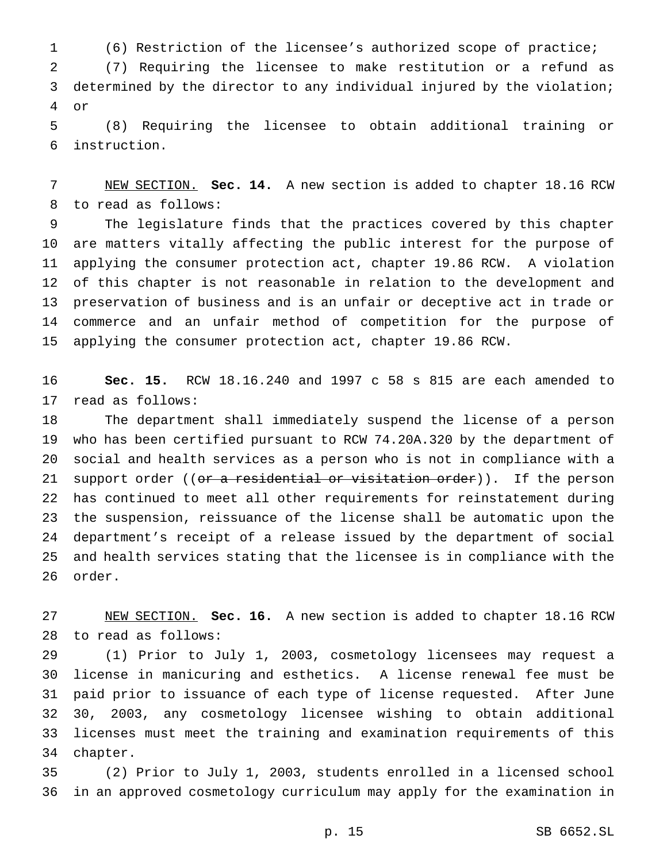(6) Restriction of the licensee's authorized scope of practice; (7) Requiring the licensee to make restitution or a refund as determined by the director to any individual injured by the violation; or

 (8) Requiring the licensee to obtain additional training or instruction.

 NEW SECTION. **Sec. 14.** A new section is added to chapter 18.16 RCW to read as follows:

 The legislature finds that the practices covered by this chapter are matters vitally affecting the public interest for the purpose of applying the consumer protection act, chapter 19.86 RCW. A violation of this chapter is not reasonable in relation to the development and preservation of business and is an unfair or deceptive act in trade or commerce and an unfair method of competition for the purpose of applying the consumer protection act, chapter 19.86 RCW.

 **Sec. 15.** RCW 18.16.240 and 1997 c 58 s 815 are each amended to read as follows:

 The department shall immediately suspend the license of a person who has been certified pursuant to RCW 74.20A.320 by the department of social and health services as a person who is not in compliance with a 21 support order ((or a residential or visitation order)). If the person has continued to meet all other requirements for reinstatement during the suspension, reissuance of the license shall be automatic upon the department's receipt of a release issued by the department of social and health services stating that the licensee is in compliance with the order.

 NEW SECTION. **Sec. 16.** A new section is added to chapter 18.16 RCW to read as follows:

 (1) Prior to July 1, 2003, cosmetology licensees may request a license in manicuring and esthetics. A license renewal fee must be paid prior to issuance of each type of license requested. After June 30, 2003, any cosmetology licensee wishing to obtain additional licenses must meet the training and examination requirements of this chapter.

 (2) Prior to July 1, 2003, students enrolled in a licensed school in an approved cosmetology curriculum may apply for the examination in